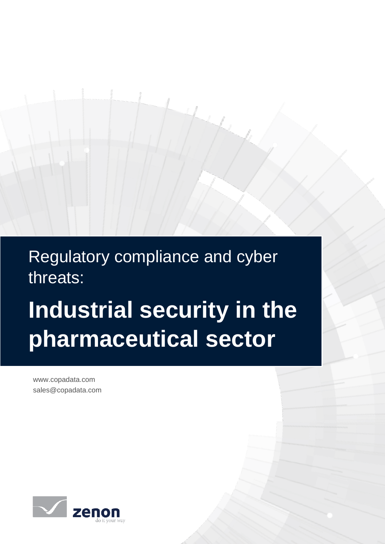Regulatory compliance and cyber threats:

# **Industrial security in the pharmaceutical sector**

www.copadata.com<br>color@exacdata.com sales@copadata.com

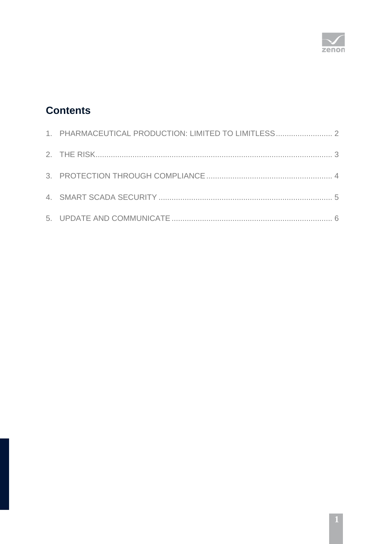

# **Contents**

| 1. PHARMACEUTICAL PRODUCTION: LIMITED TO LIMITLESS 2 |  |
|------------------------------------------------------|--|
|                                                      |  |
|                                                      |  |
|                                                      |  |
|                                                      |  |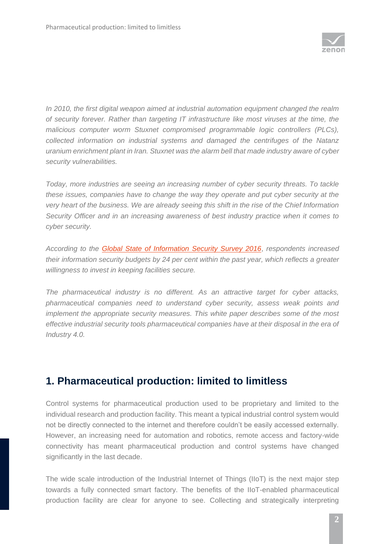

*In 2010, the first digital weapon aimed at industrial automation equipment changed the realm of security forever. Rather than targeting IT infrastructure like most viruses at the time, the malicious computer worm Stuxnet compromised programmable logic controllers (PLCs), collected information on industrial systems and damaged the centrifuges of the Natanz uranium enrichment plant in Iran. Stuxnet was the alarm bell that made industry aware of cyber security vulnerabilities.* 

*Today, more industries are seeing an increasing number of cyber security threats. To tackle these issues, companies have to change the way they operate and put cyber security at the very heart of the business. We are already seeing this shift in the rise of the Chief Information Security Officer and in an increasing awareness of best industry practice when it comes to cyber security.*

*According to the [Global State of Information Security Survey 2016](http://www.pwc.com/gx/en/issues/cyber-security/information-security-survey.html)*, *respondents increased their information security budgets by 24 per cent within the past year, which reflects a greater willingness to invest in keeping facilities secure.* 

*The pharmaceutical industry is no different. As an attractive target for cyber attacks, pharmaceutical companies need to understand cyber security, assess weak points and implement the appropriate security measures. This white paper describes some of the most effective industrial security tools pharmaceutical companies have at their disposal in the era of Industry 4.0.*

#### <span id="page-2-0"></span>**1. Pharmaceutical production: limited to limitless**

Control systems for pharmaceutical production used to be proprietary and limited to the individual research and production facility. This meant a typical industrial control system would not be directly connected to the internet and therefore couldn't be easily accessed externally. However, an increasing need for automation and robotics, remote access and factory-wide connectivity has meant pharmaceutical production and control systems have changed significantly in the last decade.

The wide scale introduction of the Industrial Internet of Things (IIoT) is the next major step towards a fully connected smart factory. The benefits of the IIoT-enabled pharmaceutical production facility are clear for anyone to see. Collecting and strategically interpreting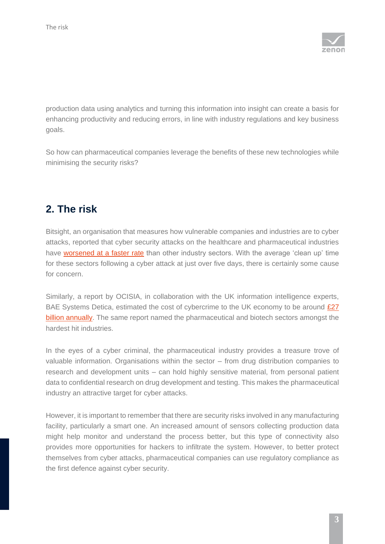

production data using analytics and turning this information into insight can create a basis for enhancing productivity and reducing errors, in line with industry regulations and key business goals.

So how can pharmaceutical companies leverage the benefits of these new technologies while minimising the security risks?

## <span id="page-3-0"></span>**2. The risk**

Bitsight, an organisation that measures how vulnerable companies and industries are to cyber attacks, reported that cyber security attacks on the healthcare and pharmaceutical industries have [worsened at a faster rate](http://www.ft.com/cms/s/0/a6b09006-e5c9-11e3-aeef-00144feabdc0.html#axzz42z4N69DM) than other industry sectors. With the average 'clean up' time for these sectors following a cyber attack at just over five days, there is certainly some cause for concern.

Similarly, a report by OCISIA, in collaboration with the UK information intelligence experts, BAE Systems Detica, estimated the cost of cybercrime to the UK economy to be around £27 [billion annually.](https://www.gov.uk/government/uploads/system/uploads/attachment_data/file/60942/THE-COST-OF-CYBER-CRIME-SUMMARY-FINAL.pdf) The same report named the pharmaceutical and biotech sectors amongst the hardest hit industries.

In the eyes of a cyber criminal, the pharmaceutical industry provides a treasure trove of valuable information. Organisations within the sector – from drug distribution companies to research and development units – can hold highly sensitive material, from personal patient data to confidential research on drug development and testing. This makes the pharmaceutical industry an attractive target for cyber attacks.

However, it is important to remember that there are security risks involved in any manufacturing facility, particularly a smart one. An increased amount of sensors collecting production data might help monitor and understand the process better, but this type of connectivity also provides more opportunities for hackers to infiltrate the system. However, to better protect themselves from cyber attacks, pharmaceutical companies can use regulatory compliance as the first defence against cyber security.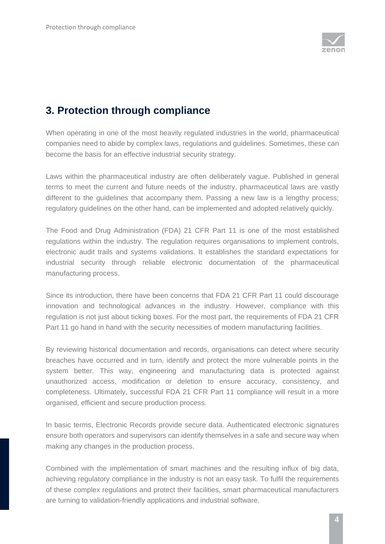

## <span id="page-4-0"></span>**3. Protection through compliance**

When operating in one of the most heavily regulated industries in the world, pharmaceutical companies need to abide by complex laws, regulations and guidelines. Sometimes, these can become the basis for an effective industrial security strategy.

Laws within the pharmaceutical industry are often deliberately vague. Published in general terms to meet the current and future needs of the industry, pharmaceutical laws are vastly different to the guidelines that accompany them. Passing a new law is a lengthy process; regulatory guidelines on the other hand, can be implemented and adopted relatively quickly.

The Food and Drug Administration (FDA) 21 CFR Part 11 is one of the most established regulations within the industry. The regulation requires organisations to implement controls, electronic audit trails and systems validations. It establishes the standard expectations for industrial security through reliable electronic documentation of the pharmaceutical manufacturing process.

Since its introduction, there have been concerns that FDA 21 CFR Part 11 could discourage innovation and technological advances in the industry. However, compliance with this regulation is not just about ticking boxes. For the most part, the requirements of FDA 21 CFR Part 11 go hand in hand with the security necessities of modern manufacturing facilities.

By reviewing historical documentation and records, organisations can detect where security breaches have occurred and in turn, identify and protect the more vulnerable points in the system better. This way, engineering and manufacturing data is protected against unauthorized access, modification or deletion to ensure accuracy, consistency, and completeness. Ultimately, successful FDA 21 CFR Part 11 compliance will result in a more organised, efficient and secure production process.

In basic terms, Electronic Records provide secure data. Authenticated electronic signatures ensure both operators and supervisors can identify themselves in a safe and secure way when making any changes in the production process.

Combined with the implementation of smart machines and the resulting influx of big data, achieving regulatory compliance in the industry is not an easy task. To fulfil the requirements of these complex regulations and protect their facilities, smart pharmaceutical manufacturers are turning to validation-friendly applications and industrial software.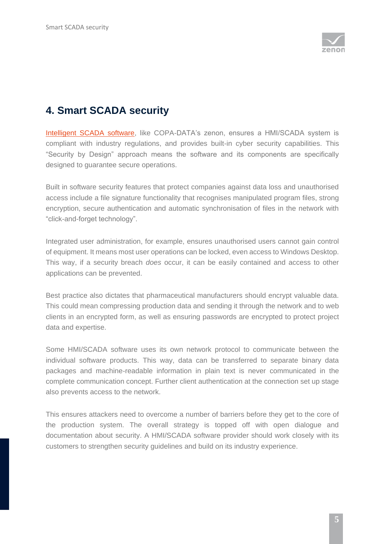

## <span id="page-5-0"></span>**4. Smart SCADA security**

[Intelligent SCADA software,](https://www.copadata.com/en-gb/hmi-scada-solutions/smart-factory/) like COPA-DATA's zenon, ensures a HMI/SCADA system is compliant with industry regulations, and provides built-in cyber security capabilities. This "Security by Design" approach means the software and its components are specifically designed to guarantee secure operations.

Built in software security features that protect companies against data loss and unauthorised access include a file signature functionality that recognises manipulated program files, strong encryption, secure authentication and automatic synchronisation of files in the network with "click-and-forget technology".

Integrated user administration, for example, ensures unauthorised users cannot gain control of equipment. It means most user operations can be locked, even access to Windows Desktop. This way, if a security breach *does* occur, it can be easily contained and access to other applications can be prevented.

Best practice also dictates that pharmaceutical manufacturers should encrypt valuable data. This could mean compressing production data and sending it through the network and to web clients in an encrypted form, as well as ensuring passwords are encrypted to protect project data and expertise.

Some HMI/SCADA software uses its own network protocol to communicate between the individual software products. This way, data can be transferred to separate binary data packages and machine-readable information in plain text is never communicated in the complete communication concept. Further client authentication at the connection set up stage also prevents access to the network.

This ensures attackers need to overcome a number of barriers before they get to the core of the production system. The overall strategy is topped off with open dialogue and documentation about security. A HMI/SCADA software provider should work closely with its customers to strengthen security guidelines and build on its industry experience.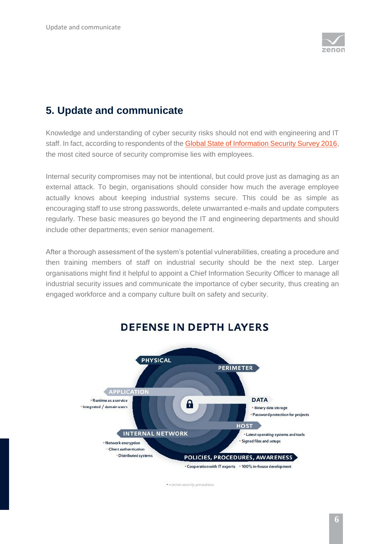

# <span id="page-6-0"></span>**5. Update and communicate**

Knowledge and understanding of cyber security risks should not end with engineering and IT staff. In fact, according to respondents of the [Global State of Information Security Survey 2016,](http://www.pwc.com/gx/en/issues/cyber-security/information-security-survey.html) the most cited source of security compromise lies with employees.

Internal security compromises may not be intentional, but could prove just as damaging as an external attack. To begin, organisations should consider how much the average employee actually knows about keeping industrial systems secure. This could be as simple as encouraging staff to use strong passwords, delete unwarranted e-mails and update computers regularly. These basic measures go beyond the IT and engineering departments and should include other departments; even senior management.

After a thorough assessment of the system's potential vulnerabilities, creating a procedure and then training members of staff on industrial security should be the next step. Larger organisations might find it helpful to appoint a Chief Information Security Officer to manage all industrial security issues and communicate the importance of cyber security, thus creating an engaged workforce and a company culture built on safety and security.



#### **DEFENSE IN DEPTH LAYERS**

· = zenon security precoutions